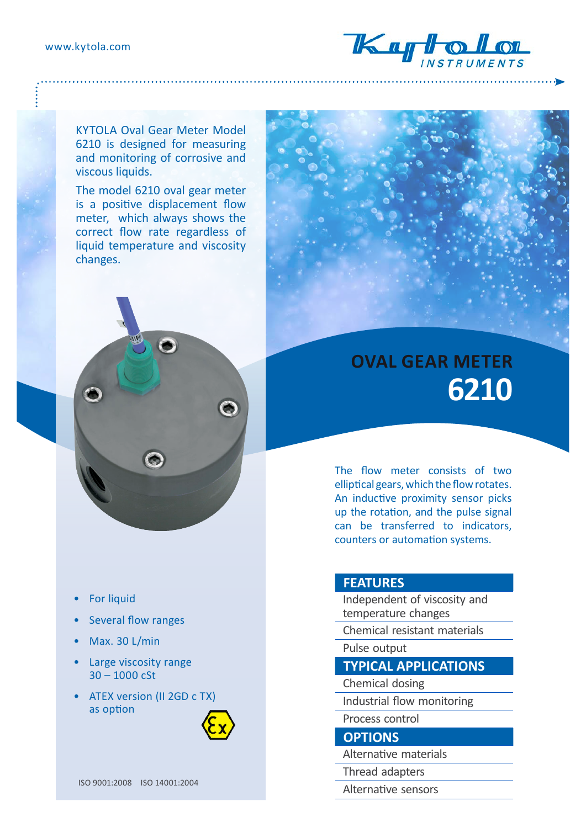

KYTOLA Oval Gear Meter Model 6210 is designed for measuring and monitoring of corrosive and viscous liquids.

The model 6210 oval gear meter is a positive displacement flow meter, which always shows the correct flow rate regardless of liquid temperature and viscosity changes.



The flow meter consists of two elliptical gears, which the flow rotates. An inductive proximity sensor picks up the rotation, and the pulse signal can be transferred to indicators, counters or automation systems.

## **FEATURES**

Independent of viscosity and temperature changes

Chemical resistant materials

Pulse output

## **TYPICAL APPLICATIONS**

Chemical dosing

Industrial flow monitoring

Process control

**OPTIONS**

Alternative materials

Thread adapters

Alternative sensors

- For liquid
- Several flow ranges
- Max. 30 L/min
- Large viscosity range 30 – 1000 cSt
- ATEX version (II 2GD c TX) as option